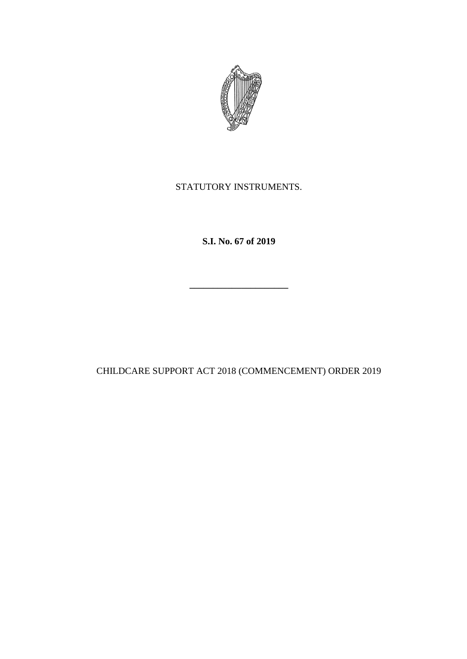

## STATUTORY INSTRUMENTS.

**S.I. No. 67 of 2019**

**\_\_\_\_\_\_\_\_\_\_\_\_\_\_\_\_\_\_\_\_\_**

CHILDCARE SUPPORT ACT 2018 (COMMENCEMENT) ORDER 2019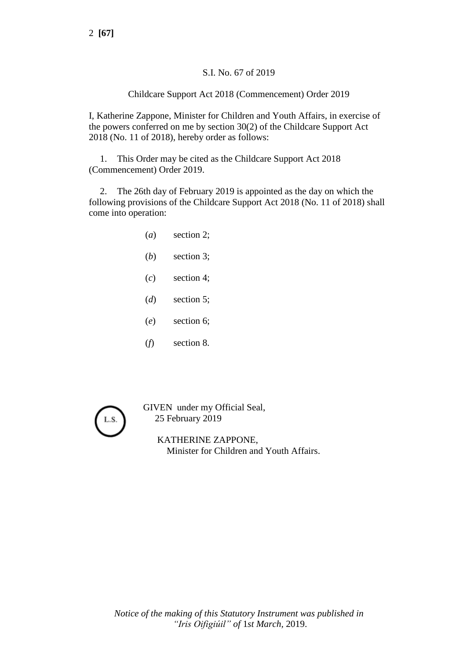## S.I. No. 67 of 2019

## Childcare Support Act 2018 (Commencement) Order 2019

I, Katherine Zappone, Minister for Children and Youth Affairs, in exercise of the powers conferred on me by section 30(2) of the Childcare Support Act 2018 (No. 11 of 2018), hereby order as follows:

1. This Order may be cited as the Childcare Support Act 2018 (Commencement) Order 2019.

2. The 26th day of February 2019 is appointed as the day on which the following provisions of the Childcare Support Act 2018 (No. 11 of 2018) shall come into operation:

- (*a*) section 2;
- (*b*) section 3;
- (*c*) section 4;
- (*d*) section 5;
- (*e*) section 6;
- (*f*) section 8.



GIVEN under my Official Seal, 25 February 2019

> KATHERINE ZAPPONE, Minister for Children and Youth Affairs.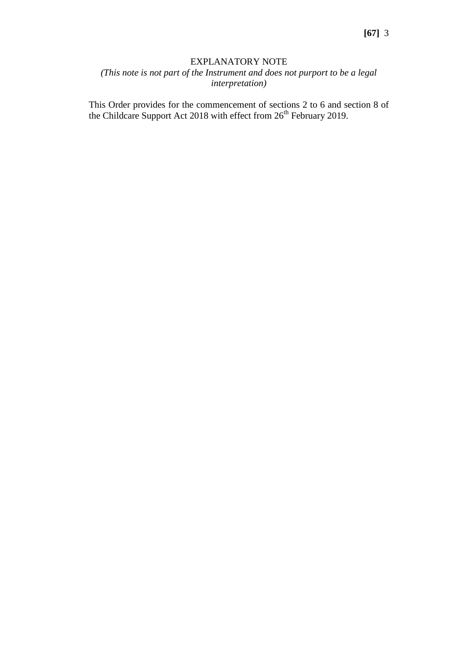## EXPLANATORY NOTE

*(This note is not part of the Instrument and does not purport to be a legal interpretation)*

This Order provides for the commencement of sections 2 to 6 and section 8 of the Childcare Support Act 2018 with effect from  $26<sup>th</sup>$  February 2019.